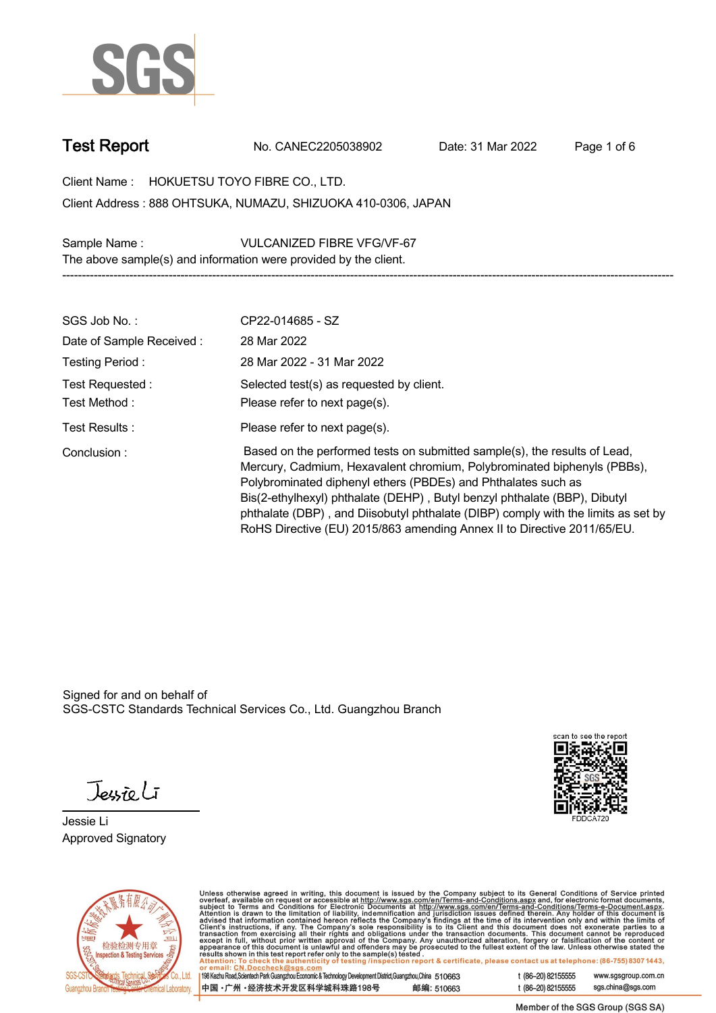

**Test Report. No. CANEC2205038902 . Date: 31 Mar 2022 . Page 1 of 6.**

**Client Name : HOKUETSU TOYO FIBRE CO., LTD. . 888 OHTSUKA, NUMAZU, SHIZUOKA 410-0306, JAPAN . Client Address :**

**Sample Name : VULCANIZED FIBRE VFG/VF-67 . The above sample(s) and information were provided by the client.**

| SGS Job No.:             | CP22-014685 - SZ                                                                                                                                                                                                                                                                                                                                                                                                                                                   |
|--------------------------|--------------------------------------------------------------------------------------------------------------------------------------------------------------------------------------------------------------------------------------------------------------------------------------------------------------------------------------------------------------------------------------------------------------------------------------------------------------------|
| Date of Sample Received: | 28 Mar 2022                                                                                                                                                                                                                                                                                                                                                                                                                                                        |
| Testing Period:          | 28 Mar 2022 - 31 Mar 2022                                                                                                                                                                                                                                                                                                                                                                                                                                          |
| Test Requested:          | Selected test(s) as requested by client.                                                                                                                                                                                                                                                                                                                                                                                                                           |
| Test Method :            | Please refer to next page(s).                                                                                                                                                                                                                                                                                                                                                                                                                                      |
| Test Results:            | Please refer to next page(s).                                                                                                                                                                                                                                                                                                                                                                                                                                      |
| Conclusion:              | Based on the performed tests on submitted sample(s), the results of Lead,<br>Mercury, Cadmium, Hexavalent chromium, Polybrominated biphenyls (PBBs),<br>Polybrominated diphenyl ethers (PBDEs) and Phthalates such as<br>Bis(2-ethylhexyl) phthalate (DEHP), Butyl benzyl phthalate (BBP), Dibutyl<br>phthalate (DBP), and Diisobutyl phthalate (DIBP) comply with the limits as set by<br>RoHS Directive (EU) 2015/863 amending Annex II to Directive 2011/65/EU. |

**-----------------------------------------------------------------------------------------------------------------------------------------------------------**

Signed for and on behalf of SGS-CSTC Standards Technical Services Co., Ltd. Guangzhou Branch.

Jessieli

**Jessie Li. Approved Signatory .**





Unless otherwise agreed in writing, this document is issued by the Company subject to its General Conditions of Service printed<br>overleaf, available on request or accessible at http://www.sgs.com/en/Terms-and-Conditions.as

| 198 Kezhu Road,Scientech Park Guangzhou Economic & Technology Development District,Guangzhou,China 510663 |            |
|-----------------------------------------------------------------------------------------------------------|------------|
| 中国 •广州 •经济技术开发区科学城科珠路198号                                                                                 | 邮编: 510663 |

t (86-20) 82155555 www.sgsgroup.com.cn sgs.china@sgs.com t (86-20) 82155555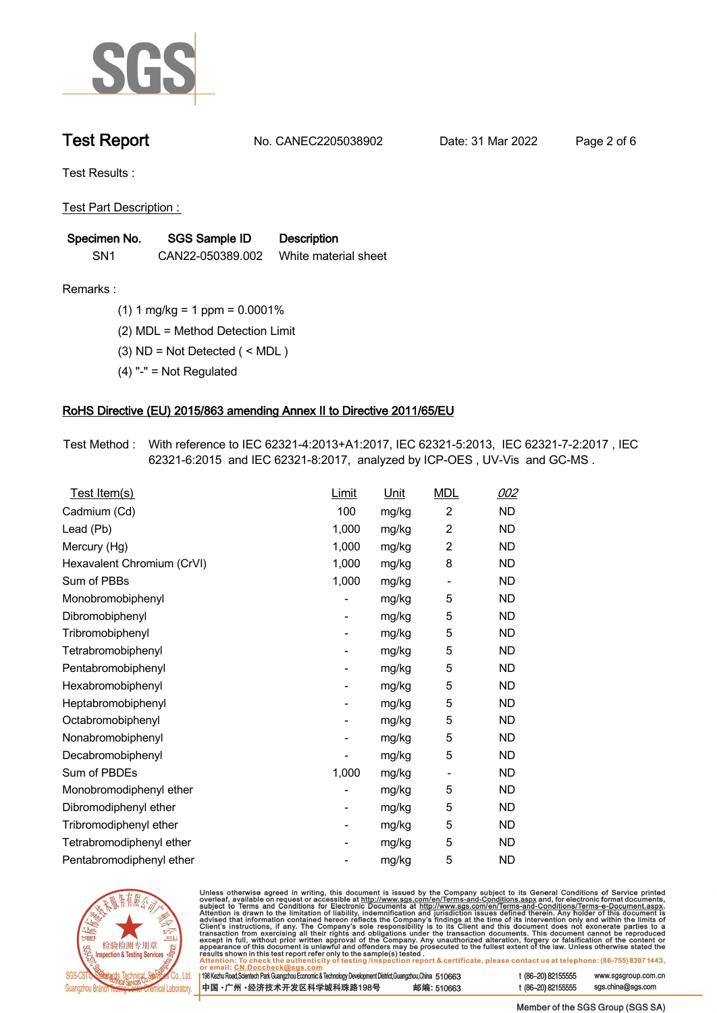

**Test Report. No. CANEC2205038902 . Date: 31 Mar 2022 . Page 2 of 6.**

**Test Results :.**

**Test Part Description : .**

| Specimen No.    | <b>SGS Sample ID</b> | <b>Description</b>   |
|-----------------|----------------------|----------------------|
| SN <sub>1</sub> | CAN22-050389.002     | White material sheet |

- **Remarks :.(1) 1 mg/kg = 1 ppm = 0.0001% .**
	- **(2) MDL = Method Detection Limit .**
	- **(3) ND = Not Detected ( < MDL ) .**
	- **(4) "-" = Not Regulated .**

## **RoHS Directive (EU) 2015/863 amending Annex II to Directive 2011/65/EU.**

**Test Method :. With reference to IEC 62321-4:2013+A1:2017, IEC 62321-5:2013, IEC 62321-7-2:2017 , IEC 62321-6:2015 and IEC 62321-8:2017, analyzed by ICP-OES , UV-Vis and GC-MS . .**

| Test Item(s)               | <b>Limit</b> | <u>Unit</u> | <b>MDL</b>                   | 002       |
|----------------------------|--------------|-------------|------------------------------|-----------|
| Cadmium (Cd)               | 100          | mg/kg       | $\overline{c}$               | <b>ND</b> |
| Lead (Pb)                  | 1,000        | mg/kg       | $\overline{2}$               | <b>ND</b> |
| Mercury (Hg)               | 1,000        | mg/kg       | $\overline{2}$               | <b>ND</b> |
| Hexavalent Chromium (CrVI) | 1,000        | mg/kg       | 8                            | <b>ND</b> |
| Sum of PBBs                | 1,000        | mg/kg       | $\overline{\phantom{0}}$     | <b>ND</b> |
| Monobromobiphenyl          |              | mg/kg       | 5                            | <b>ND</b> |
| Dibromobiphenyl            | -            | mg/kg       | 5                            | <b>ND</b> |
| Tribromobiphenyl           | -            | mg/kg       | 5                            | <b>ND</b> |
| Tetrabromobiphenyl         |              | mg/kg       | 5                            | <b>ND</b> |
| Pentabromobiphenyl         | -            | mg/kg       | 5                            | <b>ND</b> |
| Hexabromobiphenyl          |              | mg/kg       | 5                            | <b>ND</b> |
| Heptabromobiphenyl         |              | mg/kg       | 5                            | <b>ND</b> |
| Octabromobiphenyl          | -            | mg/kg       | 5                            | <b>ND</b> |
| Nonabromobiphenyl          |              | mg/kg       | 5                            | <b>ND</b> |
| Decabromobiphenyl          |              | mg/kg       | 5                            | <b>ND</b> |
| Sum of PBDEs               | 1,000        | mg/kg       | $\qquad \qquad \blacksquare$ | <b>ND</b> |
| Monobromodiphenyl ether    |              | mg/kg       | 5                            | <b>ND</b> |
| Dibromodiphenyl ether      |              | mg/kg       | 5                            | <b>ND</b> |
| Tribromodiphenyl ether     | -            | mg/kg       | 5                            | <b>ND</b> |
| Tetrabromodiphenyl ether   |              | mg/kg       | 5                            | <b>ND</b> |
| Pentabromodiphenyl ether   |              | mg/kg       | 5                            | <b>ND</b> |



Unless otherwise agreed in writing, this document is issued by the Company subject to its General Conditions of Service printed overleaf, available on request or accessible at http://www.sgs.com/en/Terms-and-Conditions.as

| or email: CN.Doccheck@sqs.com                                                                                |            |                    |                     |
|--------------------------------------------------------------------------------------------------------------|------------|--------------------|---------------------|
| 198 Kezhu Road, Scientech Park Guangzhou Economic & Technology Development District, Guangzhou, China 510663 |            | t (86–20) 82155555 | www.sgsgroup.com.cn |
| ┃中国 •广州 •经济技术开发区科学城科珠路198号 ↓                                                                                 | 邮编: 510663 | t (86–20) 82155555 | sgs.china@sgs.com   |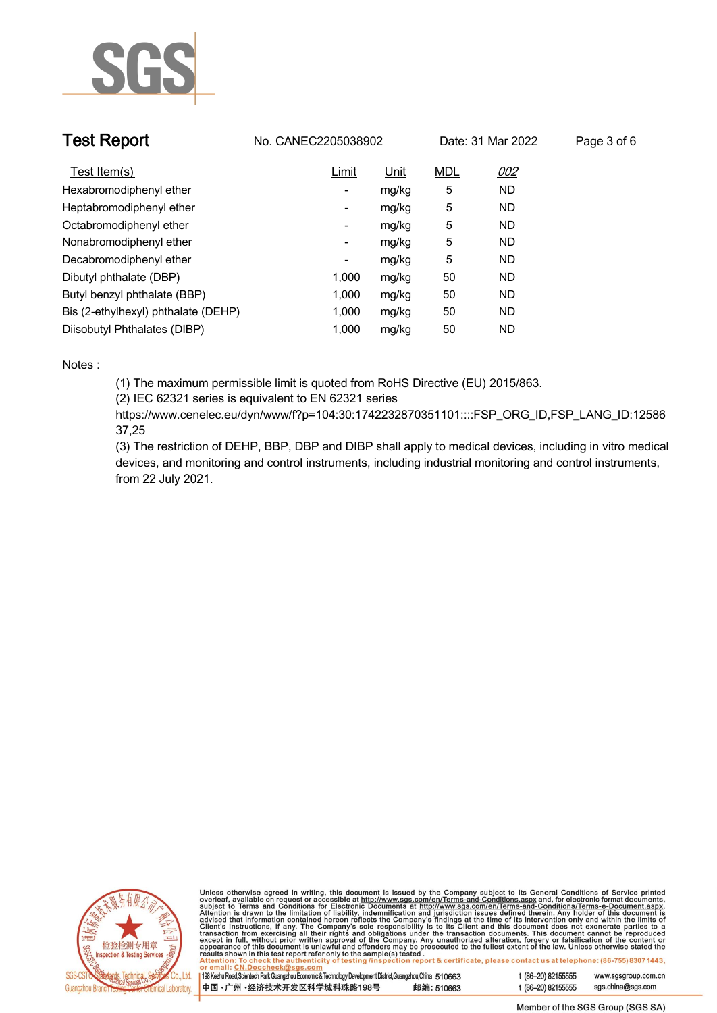

| <b>Test Report</b>                  | No. CANEC2205038902      |             |            | Date: 31 Mar 2022 | Page 3 of 6 |
|-------------------------------------|--------------------------|-------------|------------|-------------------|-------------|
| Test Item(s)                        | Limit                    | <u>Unit</u> | <b>MDL</b> | <u>002</u>        |             |
| Hexabromodiphenyl ether             | ٠                        | mg/kg       | 5          | <b>ND</b>         |             |
| Heptabromodiphenyl ether            | ٠                        | mg/kg       | 5          | <b>ND</b>         |             |
| Octabromodiphenyl ether             | $\overline{\phantom{a}}$ | mg/kg       | 5          | <b>ND</b>         |             |
| Nonabromodiphenyl ether             | $\overline{\phantom{a}}$ | mg/kg       | 5          | <b>ND</b>         |             |
| Decabromodiphenyl ether             | -                        | mg/kg       | 5          | <b>ND</b>         |             |
| Dibutyl phthalate (DBP)             | 1.000                    | mg/kg       | 50         | <b>ND</b>         |             |
| Butyl benzyl phthalate (BBP)        | 1.000                    | mg/kg       | 50         | <b>ND</b>         |             |
| Bis (2-ethylhexyl) phthalate (DEHP) | 1.000                    | mg/kg       | 50         | <b>ND</b>         |             |
| Diisobutyl Phthalates (DIBP)        | 1.000                    | mg/kg       | 50         | ND                |             |

### **Notes :.**

**(1) The maximum permissible limit is quoted from RoHS Directive (EU) 2015/863.**

**(2) IEC 62321 series is equivalent to EN 62321 series**

**https://www.cenelec.eu/dyn/www/f?p=104:30:1742232870351101::::FSP\_ORG\_ID,FSP\_LANG\_ID:12586 37,25**

**(3) The restriction of DEHP, BBP, DBP and DIBP shall apply to medical devices, including in vitro medical devices, and monitoring and control instruments, including industrial monitoring and control instruments, from 22 July 2021..**



Unless otherwise agreed in writing, this document is issued by the Company subject to its General Conditions of Service printed<br>overleaf, available on request or accessible at http://www.sgs.com/en/Terms-and-Conditions.as

| 198 Kezhu Road,Scientech Park Guangzhou Economic & Technology Development District,Guangzhou,China 510663 |            |  |
|-----------------------------------------------------------------------------------------------------------|------------|--|
| 中国 ·广州 ·经济技术开发区科学城科珠路198号                                                                                 | 邮编: 510663 |  |

www.sgsgroup.com.cn

t (86-20) 82155555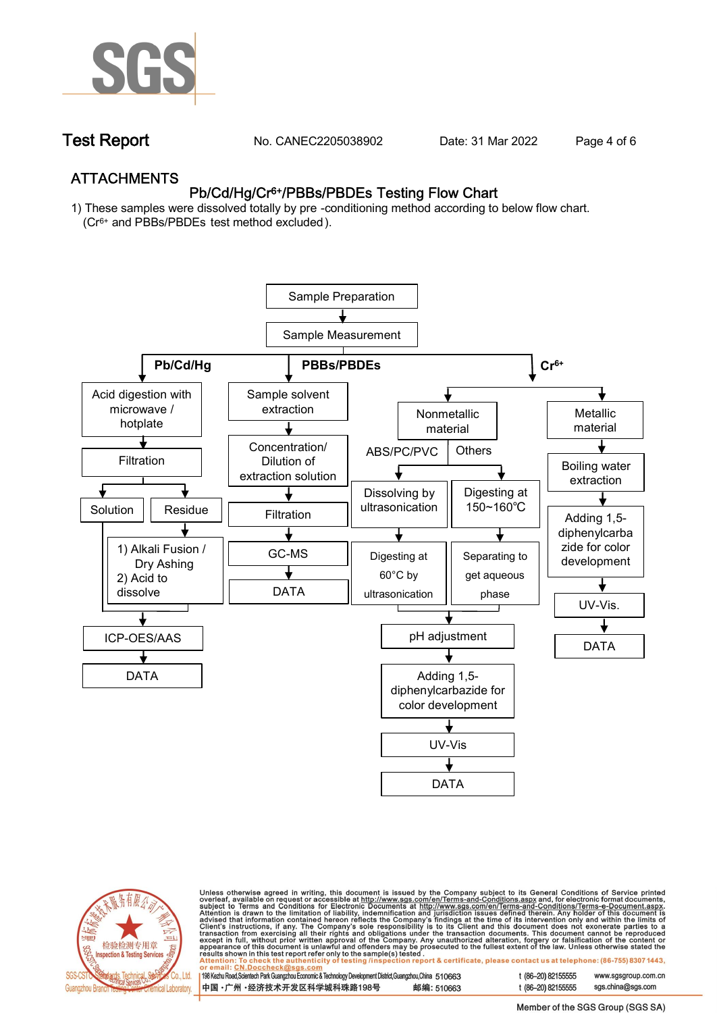

**Test Report. No. CANEC2205038902 . Date: 31 Mar 2022 . Page 4 of 6.**

## **ATTACHMENTS Pb/Cd/Hg/Cr6+/PBBs/PBDEs Testing Flow Chart**

**1) These samples were dissolved totally by pre -conditioning method according to below flow chart. (Cr6+ and PBBs/PBDEs test method excluded ).**





Unless otherwise agreed in writing, this document is issued by the Company subject to its General Conditions of Service printed<br>overleaf, available on request or accessible at <u>http://www.sgs.com/en/Terms-and-Conditions.a</u>

| 198 Kezhu Road,Scientech Park Guangzhou Economic & Technology Development District,Guangzhou,China   510663 |            |
|-------------------------------------------------------------------------------------------------------------|------------|
| 中国 •广州 •经济技术开发区科学城科珠路198号 »                                                                                 | 邮编: 510663 |

t (86-20) 82155555 www.sgsgroup.com.cn t (86-20) 82155555 sas.china@sas.com

Member of the SGS Group (SGS SA)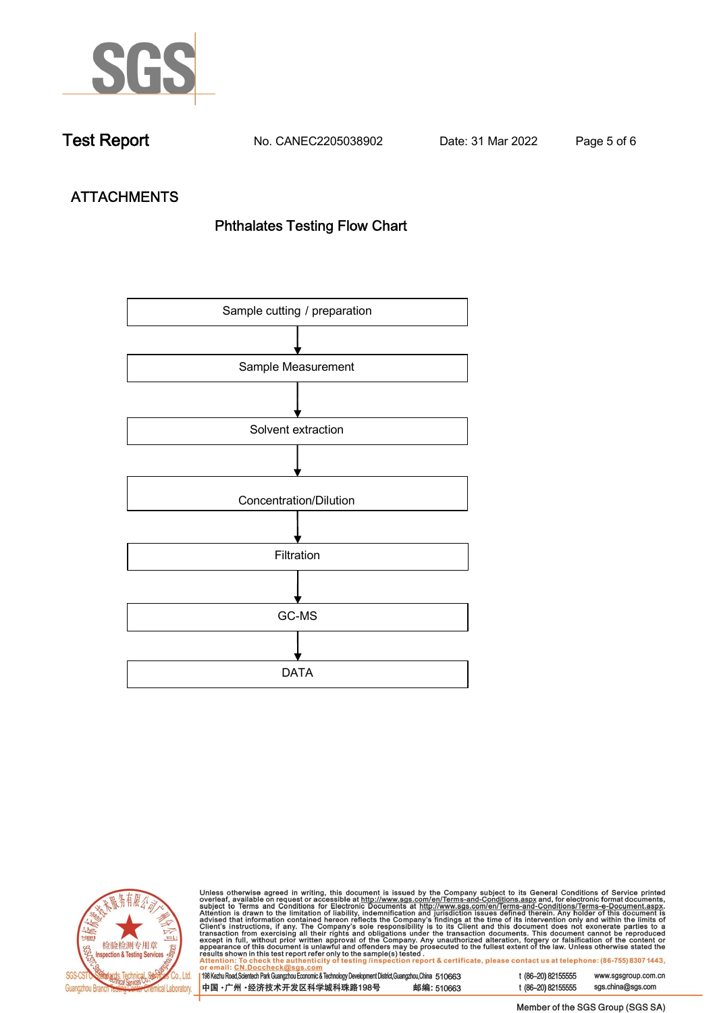

**Test Report. No. CANEC2205038902 . Date: 31 Mar 2022 . Page 5 of 6.**

# **ATTACHMENTS Phthalates Testing Flow Chart**





Unless otherwise agreed in writing, this document is issued by the Company subject to its General Conditions of Service printed overleaf, available on request or accessible at http://www.sgs.com/en/Terms-and-Conditions.as

| or email: CN.Doccheck@sus.com                                                                             |            |
|-----------------------------------------------------------------------------------------------------------|------------|
| 198 Kezhu Road,Scientech Park Guangzhou Economic & Technology Development District,Guangzhou,China 510663 |            |
|                                                                                                           |            |
|                                                                                                           |            |
| 中国 •广州 •经济技术开发区科学城科珠路198号                                                                                 | 邮编: 510663 |
|                                                                                                           |            |

t (86-20) 82155555 www.sgsgroup.com.cn t (86-20) 82155555 sgs.china@sgs.com